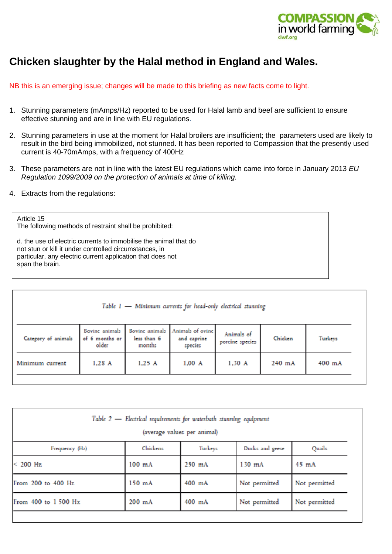

## **Chicken slaughter by the Halal method in England and Wales.**

NB this is an emerging issue; changes will be made to this briefing as new facts come to light.

- 1. Stunning parameters (mAmps/Hz) reported to be used for Halal lamb and beef are sufficient to ensure effective stunning and are in line with EU regulations.
- 2. Stunning parameters in use at the moment for Halal broilers are insufficient; the parameters used are likely to result in the bird being immobilized, not stunned. It has been reported to Compassion that the presently used current is 40-70mAmps, with a frequency of 400Hz
- 3. These parameters are not in line with the latest EU regulations which came into force in January 2013 *EU Regulation 1099/2009 on the protection of animals at time of killing.*
- 4. Extracts from the regulations:

## Article 15 The following methods of restraint shall be prohibited: d. the use of electric currents to immobilise the animal that do not stun or kill it under controlled circumstances, in particular, any electric current application that does not span the brain.

| Table $1$ - Minimum currents for head-only electrical stunning |                                           |                       |                                                           |                               |         |         |  |  |
|----------------------------------------------------------------|-------------------------------------------|-----------------------|-----------------------------------------------------------|-------------------------------|---------|---------|--|--|
| Category of animals                                            | Bovine animals<br>of 6 months or<br>older | less than 6<br>months | Bovine animals Animals of ovine<br>and caprine<br>species | Animals of<br>porcine species | Chicken | Turkeys |  |  |
| Minimum current                                                | $1,28$ A                                  | 1,25A                 | $1,00$ A                                                  | 1,30 A                        | 240 mA  | 400 mA  |  |  |

| Table $2$ - Electrical requirements for waterbath stunning equipment |         |                             |               |  |  |  |  |  |
|----------------------------------------------------------------------|---------|-----------------------------|---------------|--|--|--|--|--|
| Chickens                                                             | Turkeys | Ducks and geese             | Quails        |  |  |  |  |  |
| $100$ $mA$                                                           | 250 mA  | $130$ mA                    | 45 mA         |  |  |  |  |  |
| $150$ mA                                                             | 400 mA  | Not permitted               | Not permitted |  |  |  |  |  |
| 200 mA                                                               | 400 mA  | Not permitted               | Not permitted |  |  |  |  |  |
|                                                                      |         | (average values per animal) |               |  |  |  |  |  |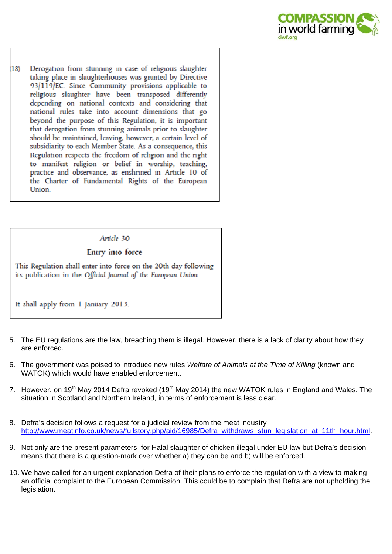

Derogation from stunning in case of religious slaughter  $(18)$ taking place in slaughterhouses was granted by Directive 93/119/EC. Since Community provisions applicable to religious slaughter have been transposed differently depending on national contexts and considering that national rules take into account dimensions that go beyond the purpose of this Regulation, it is important that derogation from stunning animals prior to slaughter should be maintained, leaving, however, a certain level of subsidiarity to each Member State. As a consequence, this Regulation respects the freedom of religion and the right to manifest religion or belief in worship, teaching, practice and observance, as enshrined in Article 10 of the Charter of Fundamental Rights of the European Union.

## Article 30

## Entry into force

This Regulation shall enter into force on the 20th day following its publication in the Official Journal of the European Union.

- It shall apply from 1 January 2013.
- 5. The EU regulations are the law, breaching them is illegal. However, there is a lack of clarity about how they are enforced.
- 6. The government was poised to introduce new rules *Welfare of Animals at the Time of Killing* (known and WATOK) which would have enabled enforcement.
- 7. However, on 19<sup>th</sup> May 2014 Defra revoked (19<sup>th</sup> May 2014) the new WATOK rules in England and Wales. The situation in Scotland and Northern Ireland, in terms of enforcement is less clear.
- 8. Defra's decision follows a request for a judicial review from the meat industry http://www.meatinfo.co.uk/news/fullstory.php/aid/16985/Defra\_withdraws\_stun\_legislation\_at\_11th\_hour.html.
- 9. Not only are the present parameters for Halal slaughter of chicken illegal under EU law but Defra's decision means that there is a question-mark over whether a) they can be and b) will be enforced.
- 10. We have called for an urgent explanation Defra of their plans to enforce the regulation with a view to making an official complaint to the European Commission. This could be to complain that Defra are not upholding the legislation.